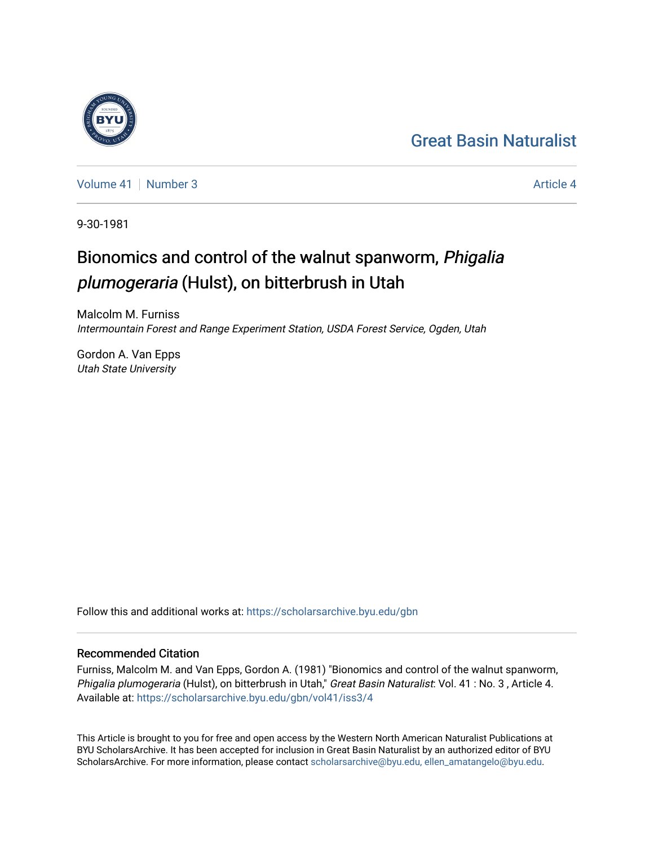## [Great Basin Naturalist](https://scholarsarchive.byu.edu/gbn)

[Volume 41](https://scholarsarchive.byu.edu/gbn/vol41) | [Number 3](https://scholarsarchive.byu.edu/gbn/vol41/iss3) Article 4

9-30-1981

# Bionomics and control of the walnut spanworm, Phigalia plumogeraria (Hulst), on bitterbrush in Utah

Malcolm M. Furniss Intermountain Forest and Range Experiment Station, USDA Forest Service, Ogden, Utah

Gordon A. Van Epps Utah State University

Follow this and additional works at: [https://scholarsarchive.byu.edu/gbn](https://scholarsarchive.byu.edu/gbn?utm_source=scholarsarchive.byu.edu%2Fgbn%2Fvol41%2Fiss3%2F4&utm_medium=PDF&utm_campaign=PDFCoverPages) 

### Recommended Citation

Furniss, Malcolm M. and Van Epps, Gordon A. (1981) "Bionomics and control of the walnut spanworm, Phigalia plumogeraria (Hulst), on bitterbrush in Utah," Great Basin Naturalist: Vol. 41 : No. 3, Article 4. Available at: [https://scholarsarchive.byu.edu/gbn/vol41/iss3/4](https://scholarsarchive.byu.edu/gbn/vol41/iss3/4?utm_source=scholarsarchive.byu.edu%2Fgbn%2Fvol41%2Fiss3%2F4&utm_medium=PDF&utm_campaign=PDFCoverPages)

This Article is brought to you for free and open access by the Western North American Naturalist Publications at BYU ScholarsArchive. It has been accepted for inclusion in Great Basin Naturalist by an authorized editor of BYU ScholarsArchive. For more information, please contact [scholarsarchive@byu.edu, ellen\\_amatangelo@byu.edu.](mailto:scholarsarchive@byu.edu,%20ellen_amatangelo@byu.edu)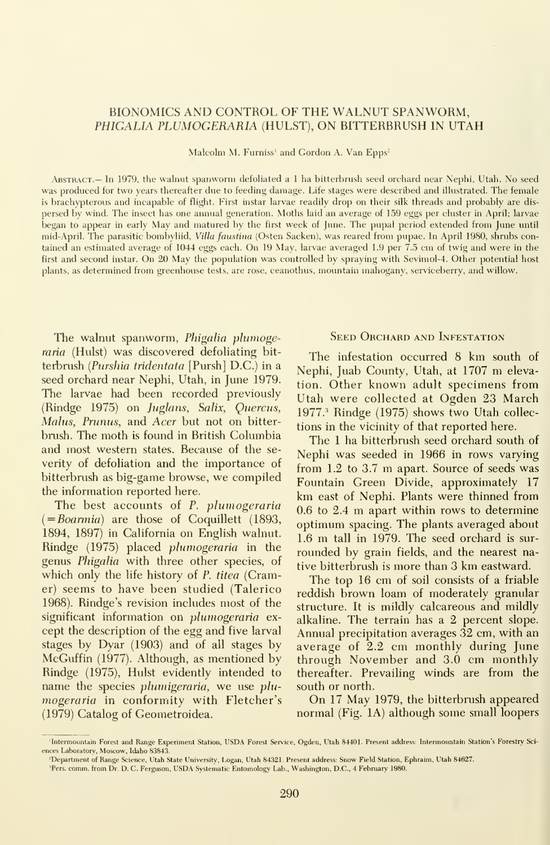#### BIONOMICS AND CONTROL OF THE WALNUT SPANWORM, PHIGALIA PLUMOGERARIA (HULST), ON BITTERBRUSH IN UTAH

Malcolm M. Furniss<sup>1</sup> and Gordon A. Van Epps<sup>2</sup>

Abstract.— In 1979, the walnut spanworm defoliated a <sup>1</sup> ha bitterbrush seed orchard near Nephi, Utah. No seed was produced for two years thereafter due to feeding damage. Life stages were described and illustrated. The female is brachypterous and incapable of flight. First instar larvae readily drop on their silk threads and probably are dis persed by wind. The insect has one annual generation. Moths laid an average of 159 eggs per cluster in April; larvae began to appear in early May and matured by the first week of June. The pupal period extended from June until mid-April. The parasitic bombyliid. Villa faustina (Osten Sacken), was reared from pupae. In April 1980, shrubs contained an estimated average of 1044 eggs each. On <sup>19</sup> May, larvae averaged 1.9 per 7.5 cm of twig and were in the first and second instar. On 20 May the population was controlled by spraying with Sevimol-4. Other potential host plants, as determined from greenhouse tests, are rose, ceanothus, mountain mahogany, serviceberry, and willow.

The walnut spanworm, Phigalia plumogeraria (Hulst) was discovered defoliating bit terbrush {Purshia tridentata [Pursh] D.C.) in a seed orchard near Nephi, Utah, in June 1979. The larvae had been recorded previously (Rindge 1975) on Juglans, Salix, Quercus, Malus, Prunus, and Acer but not on bitterbrush. The moth is found in British Columbia and most western states. Because of the se verity of defoliation and the importance of bitterbrush as big-game browse, we compiled the information reported here.

The best accounts of P. plumogeraria  $( = Boarmia)$  are those of Coquillett (1893, 1894, 1897) in California on English walnut. Rindge (1975) placed plwnogeraria in the genus Phigalia with three other species, of which only the life history of P. titea (Cramer) seems to have been studied (Talerico 1968). Rindge's revision includes most of the significant information on *plumogeraria* except the description of the egg and five larval stages by Dyar (1903) and of all stages by McGuffin (1977). Although, as mentioned by Rindge (1975), Hulst evidently intended to name the species plumigeraria, we use plumogeraria in conformity with Fletcher's (1979) Catalog of Geometroidea.

#### SEED ORCHARD AND INFESTATION

The infestation occurred <sup>8</sup> km south of Nephi, Juab County, Utah, at 1707 m elevation. Other known adult specimens from Utah were collected at Ogden 23 March 1977.' Rindge (1975) shows two Utah collec tions in the vicinity of that reported here.

The <sup>1</sup> ha bitterbrush seed orchard south of Nephi was seeded in 1966 in rows varying from 1.2 to 3.7 m apart. Source of seeds was Fountain Green Divide, approximately 17 km east of Nephi. Plants were thinned from 0.6 to 2.4 m apart within rows to determine optimum spacing. The plants averaged about 1.6 m tall in 1979. The seed orchard is sur rounded by grain fields, and the nearest native bitterbrush is more than 3 km eastward.

The top 16 cm of soil consists of a friable reddish brown loam of moderately granular structure. It is mildly calcareous and mildly alkaline. The terrain has a 2 percent slope. Annual precipitation averages 32 cm, with an average of 2.2 cm monthly during June through November and 3.0 cm monthly thereafter. Prevailing winds are from the south or north.

On 17 May 1979, the bitterbrush appeared normal (Fig. lA) although some small loopers

<sup>&#</sup>x27; Intermountain Forest and Range Experiment Station, USDA Forest Service, Ogden, Utah 84401. Present address: Intermountain Station's Forestry Sci ences Laboratory, Moscow, Idaho 83843.

<sup>&#</sup>x27;Department of Range Science, Utah State University, Logan, Utah 8432L Present address: Snow Field Station, Ephraim, Utah 84627.

<sup>&#</sup>x27;Pers. comm. from Dr. D. C. Ferguson, USDA Systematic Entomology Lab., Washington, DC, <sup>4</sup> February 1980.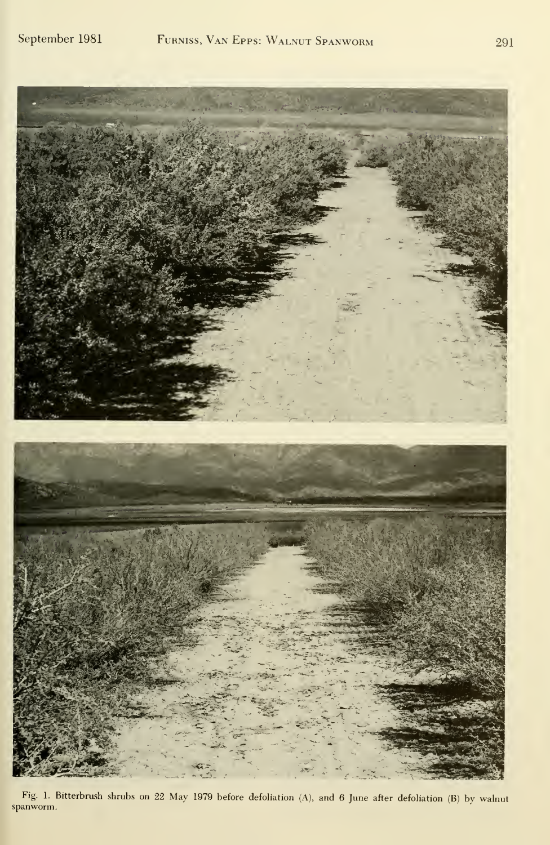

Fig. 1. Bitterbrush shrubs on <sup>22</sup> May <sup>1979</sup> before defoliation (A), and <sup>6</sup> June after defoliation (B) by walnut spanworm.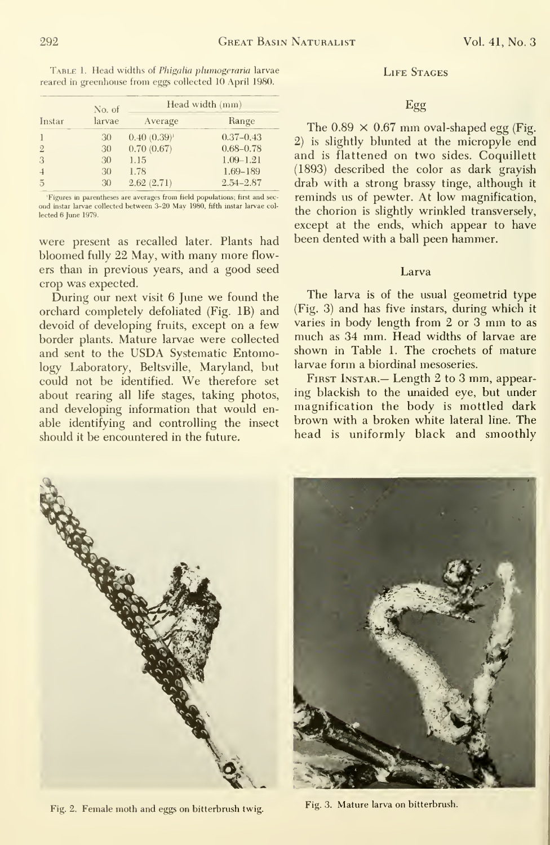|                | No. of | Head width (mm)  |               |
|----------------|--------|------------------|---------------|
| Instar         | larvae | Average          | Range         |
|                | 30     | $0.40(0.39)^{1}$ | $0.37 - 0.43$ |
| $\overline{2}$ | 30     | 0.70(0.67)       | $0.68 - 0.78$ |
| 3              | 30     | 1.15             | $1.09 - 1.21$ |
| $\overline{4}$ | 30     | 1.78             | 1.69-189      |
| $\overline{5}$ | 30     | 2.62(2.71)       | $2.54 - 2.87$ |

reared in greenhouse from eggs collected 10 April 1980.

Figures in parentheses are averages from field populations; first and second instar larvae collected between 3-20 May 1980, fifth instar larvae collected 6 June 1979.

were present as recalled later. Plants had bloomed fully 22 May, with many more flowers than in previous years, and a good seed crop was expected.

During our next visit 6 June we found the orchard completely defoliated (Fig. 1B) and devoid of developing fruits, except on a few border plants. Mature larvae were collected and sent to the USDA Systematic Entomology Laboratory, Beltsville, Maryland, but could not be identified. We therefore set about rearing all life stages, taking photos, and developing information that would enable identifying and controlling the insect should it be encountered in the future.

#### **LIFE STAGES**

#### Egg

The  $0.89 \times 0.67$  mm oval-shaped egg (Fig. 2) is slightly blunted at the micropyle end and is flattened on two sides. Coquillett (1893) described the color as dark grayish drab with a strong brassy tinge, although it reminds us of pewter. At low magnification, the chorion is slightly wrinkled transversely, except at the ends, which appear to have been dented with a ball peen hammer.

#### Larva

The larva is of the usual geometrid type (Fig. 3) and has five instars, during which it varies in body length from 2 or 3 mm to as much as 34 mm. Head widths of larvae are shown in Table 1. The crochets of mature larvae form a biordinal mesoseries.

FIRST INSTAR. - Length 2 to 3 mm, appearing blackish to the unaided eye, but under magnification the body is mottled dark brown with a broken white lateral line. The head is uniformly black and smoothly



Fig. 2. Female moth and eggs on bitterbrush twig.



Fig. 3. Mature larva on bitterbrush.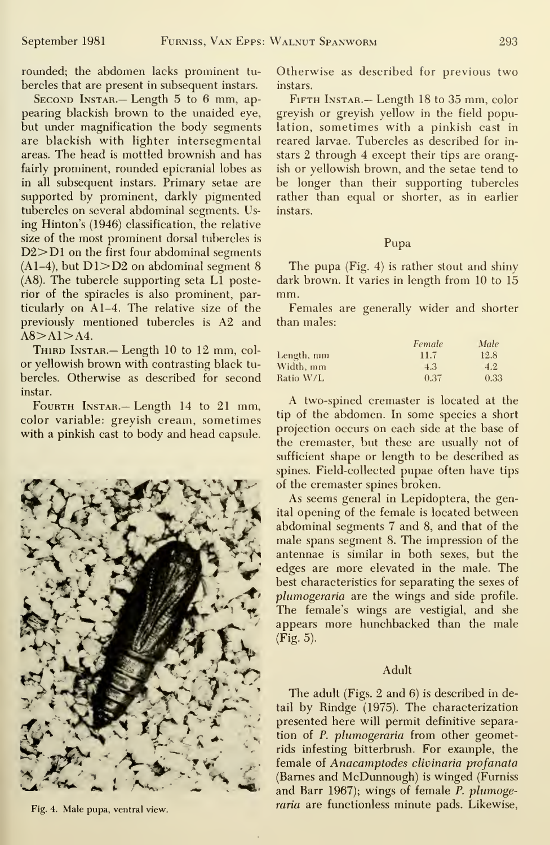rounded; the abdomen lacks prominent tu bercles that are present in subsequent instars.

SECOND INSTAR. - Length 5 to 6 mm, appearing blackish brown to the unaided eye, but under magnification the body segments are blackish with lighter intersegmental areas. The head is mottled brownish and has fairly prominent, rounded epicranial lobes as in all subsequent instars. Primary setae are supported by prominent, darkly pigmented tubercles on several abdominal segments. Using Hinton's (1946) classification, the relative size of the most prominent dorsal tubercles is D2>D1 on the first four abdominal segments  $(A1-4)$ , but  $D1 > D2$  on abdominal segment 8 (A8). The tubercle supporting seta LI posterior of the spiracles is also prominent, particularly on Al-4. The relative size of the previously mentioned tubercles is A2 and  $A8 > A1 > A4$ .

THIRD INSTAR.— Length 10 to 12 mm, color yellowish brown with contrasting black tu bercles. Otherwise as described for second instar.



Fig. 4. Male pupa, ventral view.

Otherwise as described for previous two instars.

FIFTH INSTAR. - Length 18 to 35 mm, color greyish or greyish yellow in the field population, sometimes with a pinkish cast in reared larvae. Tubercles as described for in stars 2 through 4 except their tips are orangish or yellowish brown, and the setae tend to be longer than their supporting tubercles rather than equal or shorter, as in earlier instars.

#### Pupa

The pupa (Fig. 4) is rather stout and shiny dark brown. It varies in length from 10 to 15 mm.

Females are generally wider and shorter than males:

|            | Female | Male |
|------------|--------|------|
| Length, mm | 11.7   | 12.8 |
| Width, mm  | 4.3    | 4.2  |
| Ratio W/L  | 0.37   | 0.33 |

 $F_{\text{CURTH}}$  Instar.— Length 14 to 21 mm,  $F_{\text{CURTH}}$  at two-spined cremaster is located at the labor variable, growich around computings tip of the abdomen. In some species a short color variable: greyish cream, sometimes the official discussion is sometimes evidence of the base of contract projection occurs on each side at the base of with a pinkish cast to body and head capsule. Projection occurs on each side at the base of the cremaster, but these are usually not of sufficient shape or length to be described as spines. Field-collected pupae often have tips of the cremaster spines broken.

> As seems general in Lepidoptera, the genital opening of the female is located between abdominal segments 7 and 8, and that of the male spans segment 8. The impression of the antennae is similar in both sexes, but the edges are more elevated in the male. The best characteristics for separating the sexes of plumogeraria are the wings and side profile. The female's wings are vestigial, and she appears more hunchbacked than the male  $(Fig. 5)$ .

#### Adult

The adult (Figs. 2 and 6) is described in detail by Rindge (1975). The characterization presented here will permit definitive separation of P. plumogeraria from other geometrids infesting bitterbrush. For example, the female of Anacamptodes clivinaria profanata (Barnes and McDunnough) is winged (Furniss and Barr 1967); wings of female P. plumogeraria are functionless minute pads. Likewise,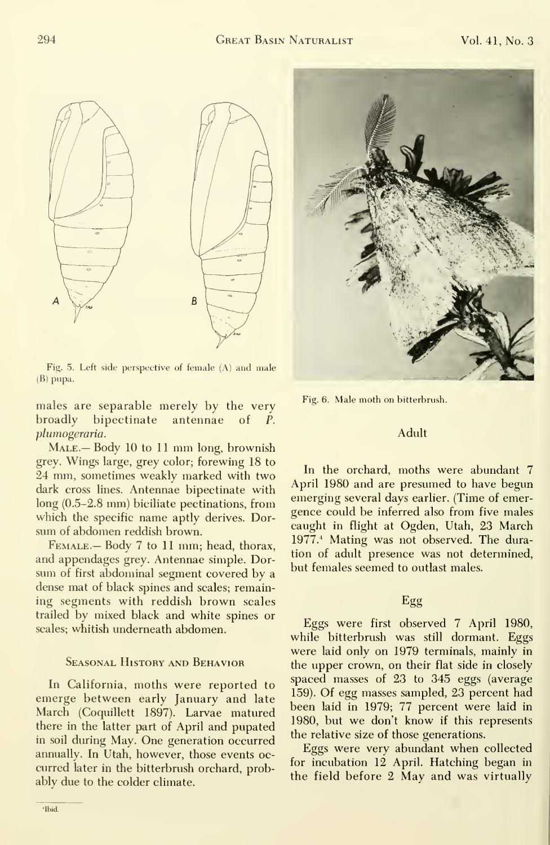

Fig. 5. Left side perspective of female (A) and male (B) pupa.

males are separable merely by the very broadly bipectinate antennae of P. plumogeraria.

MALE. Body 10 to 11 mm long, brownish grey. Wings large, grey color; forewing 18 to 24 mm, sometimes weakly marked with two dark cross lines. Antennae bipectinate with long (0.5-2.8 mm) biciliate pectinations, from which the specific name aptly derives. Dor sum of abdomen reddish brown.

FEMALE. - Body 7 to 11 mm; head, thorax, and appendages grey. Antennae simple. Dor sum of first abdominal segment covered by a dense mat of black spines and scales; remaining segments with reddish brown scales trailed by mixed black and white spines or scales; whitish underneath abdomen.

#### Seasonal History and Behavior

In California, moths were reported to emerge between early January and late March (Coquillett 1897). Larvae matured there in the latter part of April and pupated in soil during May. One generation occurred annually. In Utah, however, those events oc curred later in the bitterbrush orchard, probably due to the colder climate.





Fig. 6. Male moth on bitterbrush.

#### Adult

In the orchard, moths were abundant 7 April 1980 and are presumed to have begun emerging several days earlier. (Time of emer gence could be inferred also from five males caught in flight at Ogden, Utah, 23 March 1977.<sup>4</sup> Mating was not observed. The duration of adult presence was not determined, but females seemed to outlast males.

#### Egg

Eggs were first observed 7 April 1980, while bitterbrush was still dormant. Eggs were laid only on 1979 terminals, mainly in the upper crown, on their flat side in closely spaced masses of 23 to 345 eggs (average 159). Of egg masses sampled, 23 percent had been laid in 1979; 77 percent were laid in 1980, but we don't know if this represents the relative size of those generations.

Eggs were very abundant when collected for incubation 12 April. Hatching began in the field before 2 May and was virtually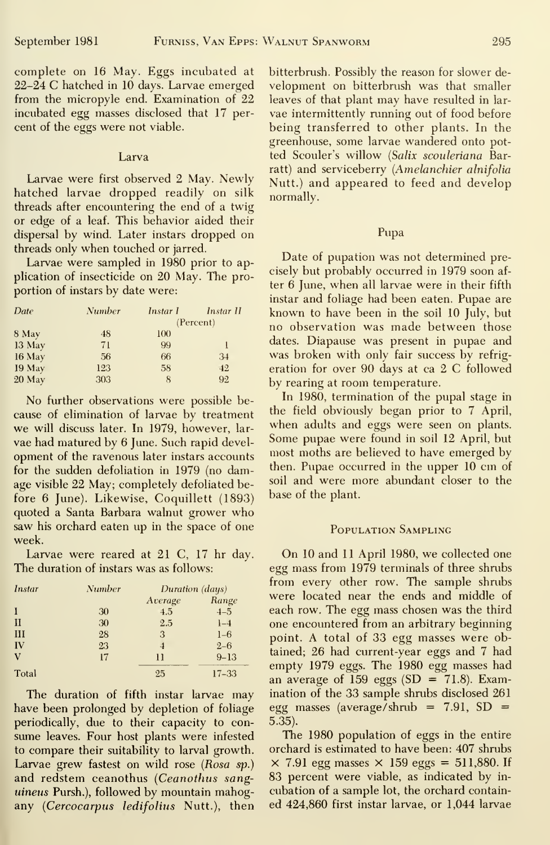from the micropyle end. Examination of 22 leaves of that plant may have resulted in larcent of the eggs were not viable.

#### Larva

hatched larvae dropped readily on silk normally. threads after encountering the end of a twig or edge of a leaf. This behavior aided their dispersal by wind. Later instars dropped on threads only when touched or jarred.

Larvae were sampled in 1980 prior to apportion of instars by date were:

| Date   | <b>Number</b> | Instar I | Instar II |
|--------|---------------|----------|-----------|
|        |               |          | (Percent) |
| 8 May  | 48            | 100      |           |
| 13 May | 71            | 99       |           |
| 16 May | 56            | 66       | 34        |
| 19 May | 123           | 58       | 42        |
| 20 May | 303           | 8        | 92        |

for the sudden defoliation in 1979 (no damfore 6 June). Likewise, Coquillett (1893) quoted a Santa Barbara walnut grower who saw his orchard eaten up in the space of one week.

Larvae were reared at 21 C, 17 hr day. The duration of instars was as follows:

| <b>Instar</b> | <b>Number</b> | Duration (days) |           |
|---------------|---------------|-----------------|-----------|
|               |               | Average         | Range     |
| 1             | 30            | 4.5             | $-1-5$    |
| $_{II}$       | 30            | 2.5             | $1 - 4$   |
| III           | 28            | 3               | $1 - 6$   |
| IV            | 23            | $\overline{4}$  | $2 - 6$   |
| V             | 17            | $\mathbf{1}$    | $9 - 13$  |
| Total         |               | 25              | $17 - 33$ |

The duration of fifth instar larvae may have been prolonged by depletion of foliage periodically, due to their capacity to consume leaves. Four host plants were infested to compare their suitability to larval growth. Larvae grew fastest on wild rose (Rosa sp.) and redstem ceanothus (Ceanothus sang*uineus* Pursh.), followed by mountain mahogany (Cercocarpus ledifolius Nutt.), then

complete on 16 May. Eggs incubated at bitterbrush. Possibly the reason for slower de-22–24 C hatched in 10 days. Larvae emerged velopment on bitterbrush was that smaller incubated egg masses disclosed that 17 per- vae intermittently running out of food before being transferred to other plants. In the greenhouse, some larvae wandered onto potted Scouler's willow (Salix scouleriana Barratt) and serviceberry (*Amelanchier alnifolia*<br>Larvae were first observed 2 May. Newly Nutt.) and appeared to feed and develop

#### Pupa

Date of pupation was not determined pre- $\frac{1}{2}$  plication of insecticide on 20 May. The pro-<br>plication of insecticide on 20 May. The pro-<br>position of insteads were  $\frac{1}{2}$  and  $\frac{1}{2}$  and  $\frac{1}{2}$  are  $\frac{1}{2}$  and  $\frac{1}{2}$  and  $\frac{1}{2}$  are  $\frac{1}{2}$  a instar and foliage had been eaten. Pupae are known to have been in the soil 10 July, but no observation was made between those dates. Diapause was present in pupae and was broken with only fair success by refrigeration for over 90 days at ca 2 C followed by rearing at room temperature.

In 1980, termination of the pupal stage in No further observations were possible be-<br>use of elimination of larvae by treatment the field obviously began prior to 7 April, cause of elimination of larvae by treatment the field obviously began prior to *l* April,<br>we will discuss later. In 1979, however, large when adults and eggs were seen on plants. we will discuss later. In 1979, however, lar-<br>we had matured by 6 June, Such rapid devel. Some pupae were found in soil 12 April, but vae had matured by 6 June. Such rapid devel-<br>next most moths are believed to have emerged by<br>next most moment of the ray angulator instance accounts opment of the ravenous later instars accounts are most moths are believed to have emerged by<br>for the sudden defoliation in 1979 (no dam-<br>then. Pupae occurred in the upper 10 cm of age visible 22 May; completely defoliated be-<br>fore 6 June) Likewise Coquillett  $(1893)$  base of the plant.

#### POPULATION SAMPLING

On 10 and 11 April 1980, we collected one egg mass from 1979 terminals of three shrubs from every other row. The sample shrubs were located near the ends and middle of each row. The egg mass chosen was the third one encountered from an arbitrary beginning point. A total of 33 egg masses were obtained; 26 had current-year eggs and 7 had empty 1979 eggs. The 1980 egg masses had an average of 159 eggs (SD = 71.8). Examination of the 33 sample shrubs disclosed 261 egg masses (average/shrub =  $7.91$ , SD =  $5.35$ ).

The 1980 population of eggs in the entire orchard is estimated to have been: 407 shrubs  $\times$  7.91 egg masses  $\times$  159 eggs = 511,880. If 83 percent were viable, as indicated by incubation of a sample lot, the orchard contained 424,860 first instar larvae, or 1,044 larvae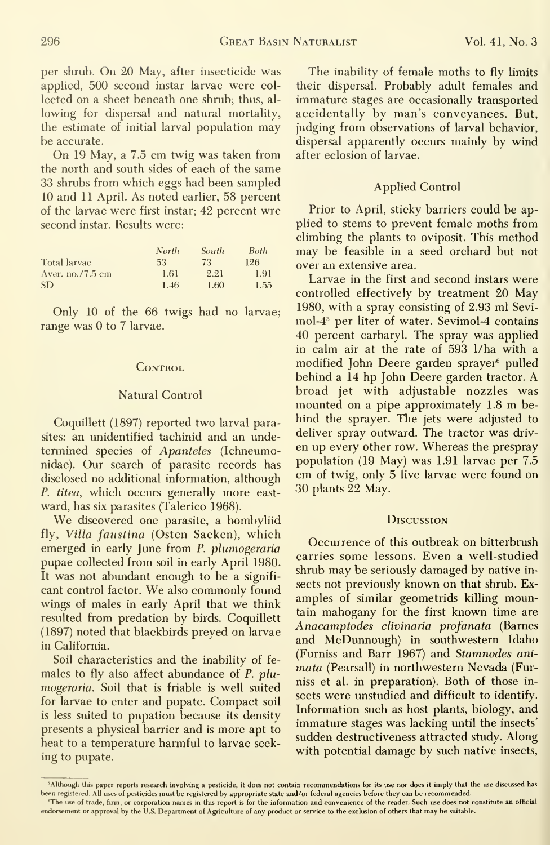per shrub. On 20 May, after insecticide was applied, 500 second instar larvae were col lected on a sheet beneath one shrub; thus, al lowing for dispersal and natural mortality, the estimate of initial larval population may be accurate.

On 19 May, <sup>a</sup> 7.5 cm twig was taken from the north and south sides of each of the same 33 shrubs from which eggs had been sampled 10 and 11 April. As noted earlier, 58 percent of the larvae were first instar; 42 percent wre second instar. Results were:

|                   | North | <b>South</b> | <b>Both</b> |  |
|-------------------|-------|--------------|-------------|--|
| Total larvae      | 53    | 73           | 126         |  |
| Aver. $no.7.5$ cm | 1.61  | 2.21         | 1.91        |  |
| <b>SD</b>         | 1.46  | 1.60         | 1.55        |  |

Only 10 of the 66 twigs had no larvae; range was 0 to 7 larvae.

#### CONTROL

#### Natural Control

Coquillett (1897) reported two larval parasites: an unidentified tachinid and an undetermined species of Apanteles (Ichneumonidae). Our search of parasite records has disclosed no additional information, although P. titea, which occurs generally more east ward, has six parasites (Talerico 1968).

We discovered one parasite, <sup>a</sup> bombyliid fly. Villa faustina (Osten Sacken), which emerged in early June from P. plumogeraria pupae collected from soil in early April 1980. It was not abundant enough to be a signifi cant control factor. We also commonly found wings of males in early April that we think resulted from predation by birds. Coquillett (1897) noted that blackbirds preyed on larvae in California.

Soil characteristics and the inability of fe males to fly also affect abundance of P. plumogeraria. Soil that is friable is well suited for larvae to enter and pupate. Compact soil is less suited to pupation because its density presents a physical barrier and is more apt to heat to a temperature harmful to larvae seek ing to pupate.

The inability of female moths to fly limits their dispersal. Probably adult females and immature stages are occasionally transported accidentally by man's conveyances. But, judging from observations of larval behavior, dispersal apparently occurs mainly by wind after eclosion of larvae.

#### Applied Control

Prior to April, sticky barriers could be applied to stems to prevent female moths from climbing the plants to oviposit. This method may be feasible in a seed orchard but not over an extensive area.

Larvae in the first and second instars were controlled effectively by treatment 20 May 1980, with a spray consisting of 2.93 ml Sevi mol-4^ per liter of water. Sevimol-4 contains 40 percent carbaryl. The spray was applied in calm air at the rate of 593 1/ha with a modified John Deere garden sprayer^ pulled behind <sup>a</sup> 14 hp John Deere garden tractor. A broad jet with adjustable nozzles was mounted on <sup>a</sup> pipe approximately 1.8 m be hind the sprayer. The jets were adjusted to deliver spray outward. The tractor was driv en up every other row. Whereas the prespray population (19 May) was 1.91 larvae per 7.5 cm of twig, only 5 live larvae were found on 30 plants 22 May.

#### **Discussion**

Occurrence of this outbreak on bitterbrush carries some lessons. Even a well-studied shrub may be seriously damaged by native in sects not previously known on that shrub. Ex amples of similar geometrids killing mountain mahogany for the first known time are Anacamptodes clivinaria profanata (Barnes and McDunnough) in southwestern Idaho (Furniss and Barr 1967) and Stamnodes ani mata (Pearsall) in northwestern Nevada (Furniss et al. in preparation). Both of those in sects were unstudied and difficult to identify. Information such as host plants, biology, and immature stages was lacking until the insects' sudden destructiveness attracted study. Along with potential damage by such native insects,

<sup>&</sup>lt;sup>3</sup>Although this paper reports research involving a pesticide, it does not contain recommendations for its use nor does it imply that the use discussed has been registered. All uses of pesticides must be registered by appropriate state and/or federal agencies before they can be recommended.

<sup>&</sup>quot;The use of trade, firm, or corporation names in this report is for the information and convenience of the reader. Such use does not constitute an official endorsement or approval by the U.S. Department of Agriculture of any product or service to the exclusion of others that may be suitable.